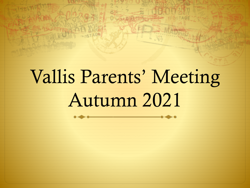# Vallis Parents' Meeting Autumn 2021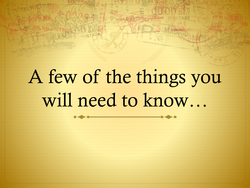# A few of the things you will need to know…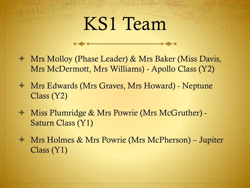## KS1 Team

- Mrs Molloy (Phase Leader) & Mrs Baker (Miss Davis, Mrs McDermott, Mrs Williams) - Apollo Class (Y2)
- Mrs Edwards (Mrs Graves, Mrs Howard) Neptune Class (Y2)
- Miss Plumridge & Mrs Powrie (Mrs McGruther) Saturn Class (Y1)
- Mrs Holmes & Mrs Powrie (Mrs McPherson) Jupiter Class (Y1)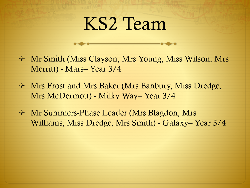### KS2 Team

- Mr Smith (Miss Clayson, Mrs Young, Miss Wilson, Mrs Merritt) - Mars– Year 3/4
- Mrs Frost and Mrs Baker (Mrs Banbury, Miss Dredge, Mrs McDermott) - Milky Way– Year 3/4
- Mr Summers-Phase Leader (Mrs Blagdon, Mrs Williams, Miss Dredge, Mrs Smith) - Galaxy– Year 3/4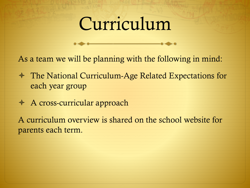## Curriculum

As a team we will be planning with the following in mind:

- The National Curriculum-Age Related Expectations for each year group
- A cross-curricular approach

A curriculum overview is shared on the school website for parents each term.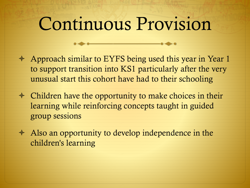## Continuous Provision

- Approach similar to EYFS being used this year in Year 1 to support transition into KS1 particularly after the very unusual start this cohort have had to their schooling
- $\triangleleft$  Children have the opportunity to make choices in their learning while reinforcing concepts taught in guided group sessions
- $\triangleleft$  Also an opportunity to develop independence in the children's learning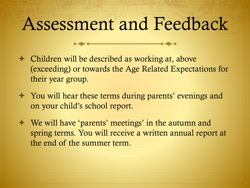#### Assessment and Feedback

- Children will be described as working at, above (exceeding) or towards the Age Related Expectations for their year group.
- You will hear these terms during parents' evenings and on your child's school report.
- We will have 'parents' meetings' in the autumn and spring terms. You will receive a written annual report at the end of the summer term.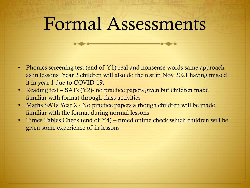#### Formal Assessments

- Phonics screening test (end of Y1)-real and nonsense words same approach as in lessons. Year 2 children will also do the test in Nov 2021 having missed it in year 1 due to COVID-19.
- Reading test SATs (Y2)- no practice papers given but children made familiar with format through class activities
- Maths SATs Year 2 No practice papers although children will be made familiar with the format during normal lessons
- Times Tables Check (end of Y4) timed online check which children will be given some experience of in lessons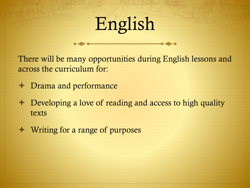## English

There will be many opportunities during English lessons and across the curriculum for:

- Drama and performance
- $\triangle$  Developing a love of reading and access to high quality texts
- Writing for a range of purposes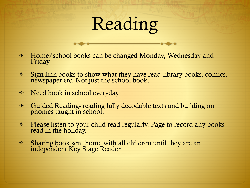## Reading

- Home/school books can be changed Monday, Wednesday and Friday
- Sign link books to show what they have read-library books, comics, newspaper etc. Not just the school book.
- $\triangleleft$  Need book in school everyday
- Guided Reading- reading fully decodable texts and building on phonics taught in school.
- $\triangleleft$  Please listen to your child read regularly. Page to record any books read in the holiday.
- Sharing book sent home with all children until they are an independent Key Stage Reader.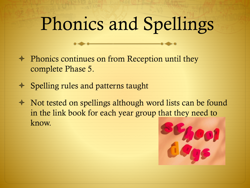## Phonics and Spellings

- $\triangleleft$  Phonics continues on from Reception until they complete Phase 5.
- $\triangle$  Spelling rules and patterns taught
- Not tested on spellings although word lists can be found in the link book for each year group that they need to know.

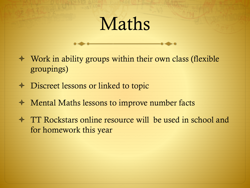## Maths

- $\triangleleft$  Work in ability groups within their own class (flexible groupings)
- Discreet lessons or linked to topic
- Mental Maths lessons to improve number facts
- <sup> $\div$ </sup> TT Rockstars online resource will be used in school and for homework this year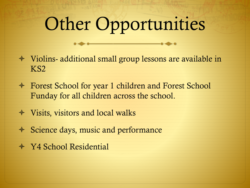## Other Opportunities

- Violins- additional small group lessons are available in KS2
- Forest School for year 1 children and Forest School Funday for all children across the school.
- Visits, visitors and local walks
- $\triangleleft$  Science days, music and performance
- Y4 School Residential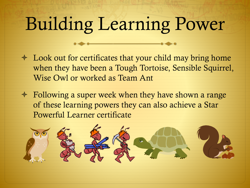# Building Learning Power

- Look out for certificates that your child may bring home when they have been a Tough Tortoise, Sensible Squirrel, Wise Owl or worked as Team Ant
- Following a super week when they have shown a range of these learning powers they can also achieve a Star Powerful Learner certificate

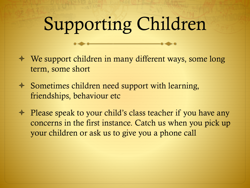# Supporting Children

- We support children in many different ways, some long term, some short
- $\triangleleft$  Sometimes children need support with learning, friendships, behaviour etc
- ↑ Please speak to your child's class teacher if you have any concerns in the first instance. Catch us when you pick up your children or ask us to give you a phone call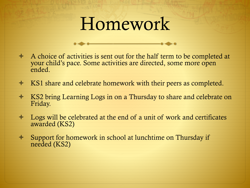### Homework

- $\triangle$  A choice of activities is sent out for the half term to be completed at your child's pace. Some activities are directed, some more open ended.
- KS1 share and celebrate homework with their peers as completed.
- **★ KS2 bring Learning Logs in on a Thursday to share and celebrate on** Friday.
- $\triangleleft$  Logs will be celebrated at the end of a unit of work and certificates awarded (KS2)
- Support for homework in school at lunchtime on Thursday if needed (KS2)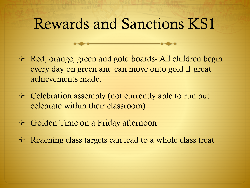#### Rewards and Sanctions KS1

- $\triangleleft$  Red, orange, green and gold boards- All children begin every day on green and can move onto gold if great achievements made.
- Celebration assembly (not currently able to run but celebrate within their classroom)
- Golden Time on a Friday afternoon
- $\triangle$  Reaching class targets can lead to a whole class treat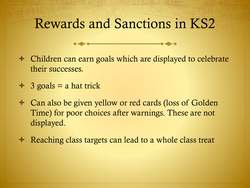#### Rewards and Sanctions in KS2

- Children can earn goals which are displayed to celebrate their successes.
- $\div$  3 goals = a hat trick
- Can also be given yellow or red cards (loss of Golden Time) for poor choices after warnings. These are not displayed.
- $\triangleleft$  Reaching class targets can lead to a whole class treat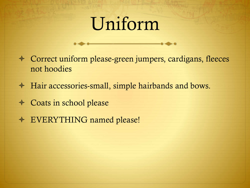## Uniform

- Correct uniform please-green jumpers, cardigans, fleeces not hoodies
- Hair accessories-small, simple hairbands and bows.
- Coats in school please
- EVERYTHING named please!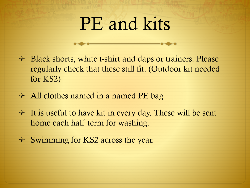## PE and kits

- Black shorts, white t-shirt and daps or trainers. Please regularly check that these still fit. (Outdoor kit needed for KS2)
- All clothes named in a named PE bag
- $\triangle$  It is useful to have kit in every day. These will be sent home each half term for washing.
- $\div$  Swimming for KS2 across the year.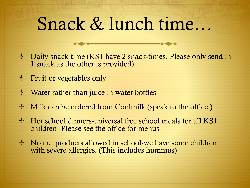## Snack & lunch time…

- Daily snack time (KS1 have 2 snack-times. Please only send in 1 snack as the other is provided)
- $\triangleleft$  Fruit or vegetables only
- Water rather than juice in water bottles
- Milk can be ordered from Coolmilk (speak to the office!)
- $\div$  Hot school dinners-universal free school meals for all KS1 children. Please see the office for menus
- No nut products allowed in school-we have some children with severe allergies. (This includes hummus)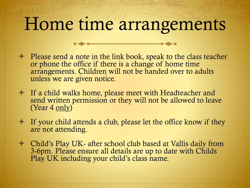### Home time arrangements

- $\triangle$  Please send a note in the link book, speak to the class teacher or phone the office if there is a change of home time arrangements. Children will not be handed over to adults unless we are given notice.
- If a child walks home, please meet with Headteacher and send written permission or they will not be allowed to leave (Year 4 only)
- $\div$  If your child attends a club, please let the office know if they are not attending.
- Child's Play UK- after school club based at Vallis daily from 3-6pm. Please ensure all details are up to date with Childs Play UK including your child's class name.